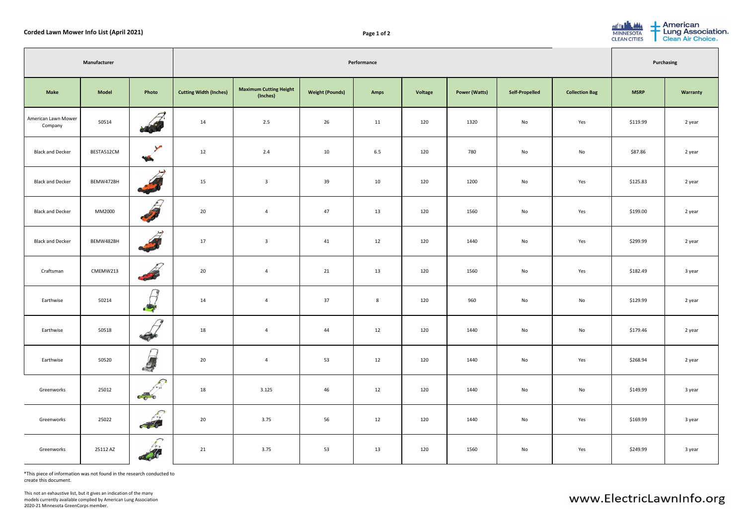| <b>Corded Lawn Mower Info List (April 2021)</b> |              |                                                                                                                                                                                                                                      |                               | Page 1 of 2                               |                        |                |         |                      |                       |                       | <b>BILT LANA</b><br><b>MINNESOTA</b><br><b>CLEAN CITIES</b> | <b>American</b><br>Lung Association.<br>Clean Air Choice. |
|-------------------------------------------------|--------------|--------------------------------------------------------------------------------------------------------------------------------------------------------------------------------------------------------------------------------------|-------------------------------|-------------------------------------------|------------------------|----------------|---------|----------------------|-----------------------|-----------------------|-------------------------------------------------------------|-----------------------------------------------------------|
| Manufacturer                                    |              |                                                                                                                                                                                                                                      | Performance                   |                                           |                        |                |         |                      |                       | <b>Purchasing</b>     |                                                             |                                                           |
| <b>Make</b>                                     | <b>Model</b> | Photo                                                                                                                                                                                                                                | <b>Cutting Width (Inches)</b> | <b>Maximum Cutting Height</b><br>(Inches) | <b>Weight (Pounds)</b> | Amps           | Voltage | <b>Power (Watts)</b> | <b>Self-Propelled</b> | <b>Collection Bag</b> | <b>MSRP</b>                                                 | <b>Warranty</b>                                           |
| American Lawn Mower<br>Company                  | 50514        | $\sqrt{}$<br>$\mathcal{C}^{(1)}_0$                                                                                                                                                                                                   | 14                            | 2.5                                       | 26                     | 11             | 120     | 1320                 | No                    | Yes                   | \$119.99                                                    | 2 year                                                    |
| <b>Black and Decker</b>                         | BESTA512CM   | $\sqrt{2}$<br>T                                                                                                                                                                                                                      | 12                            | 2.4                                       | 10                     | 6.5            | 120     | 780                  | No                    | No                    | \$87.86                                                     | 2 year                                                    |
| <b>Black and Decker</b>                         | BEMW472BH    | $\leftrightarrow$<br><b>CARL CARL CARL CARL CARL</b>                                                                                                                                                                                 | 15                            | $\overline{3}$                            | 39                     | 10             | 120     | 1200                 | No                    | Yes                   | \$125.83                                                    | 2 year                                                    |
| <b>Black and Decker</b>                         | MM2000       | <b>Contract on the Second Street</b>                                                                                                                                                                                                 | $20\degree$                   | $\overline{4}$                            | 47                     | 13             | 120     | 1560                 | No                    | Yes                   | \$199.00                                                    | 2 year                                                    |
| <b>Black and Decker</b>                         | BEMW482BH    | <b>Contract de la Contract de la Contract de la Contract de la Contract de la Contract de la Contract de la Contract de la Contract de la Contract de la Contract de la Contract de la Contract de la Contract de la Contract de</b> | 17                            | $\overline{3}$                            | 41                     | 12             | 120     | 1440                 | No                    | Yes                   | \$299.99                                                    | 2 year                                                    |
| Craftsman                                       | CMEMW213     | $\sqrt{ }$                                                                                                                                                                                                                           | $20\,$                        | $\overline{4}$                            | 21                     | 13             | 120     | 1560                 | No                    | Yes                   | \$182.49                                                    | 3 year                                                    |
| Earthwise                                       | 50214        | de pr                                                                                                                                                                                                                                | 14                            | $\overline{4}$                            | 37                     | $8\phantom{1}$ | 120     | 960                  | No                    | No                    | \$129.99                                                    | 2 year                                                    |
| Earthwise                                       | 50518        | $\frac{1}{\sqrt{2}}$                                                                                                                                                                                                                 | 18                            | $\overline{4}$                            | 44                     | 12             | 120     | 1440                 | No                    | No                    | \$179.46                                                    | 2 year                                                    |
| Earthwise                                       | 50520        | $\sqrt{ }$<br>$\sqrt{\phantom{a}}$<br>$\mathcal{L}$                                                                                                                                                                                  | 20                            | $\overline{4}$                            | 53                     | 12             | 120     | 1440                 | No                    | Yes                   | \$268.94                                                    | 2 year                                                    |
| Greenworks                                      | 25012        | $\curvearrowleft$<br>$c_0$                                                                                                                                                                                                           | 18                            | 3.125                                     | 46                     | 12             | 120     | 1440                 | No                    | No                    | \$149.99                                                    | 3 year                                                    |
| Greenworks                                      | 25022        | $\bigcap$<br>$\mathbf{a}$ to $\mathbf{b}$<br>$\epsilon$ is                                                                                                                                                                           | 20                            | 3.75                                      | 56                     | 12             | 120     | 1440                 | No                    | Yes                   | \$169.99                                                    | 3 year                                                    |
| Greenworks                                      | 25112 AZ     | $\sqrt{ }$                                                                                                                                                                                                                           | 21                            | 3.75                                      | 53                     | 13             | 120     | 1560                 | No                    | Yes                   | \$249.99                                                    | 3 year                                                    |

\*This piece of information was not found in the research conducted to create this document.

This not an exhaustive list, but it gives an indication of the many models currently available complied by American Lung Association 2020-21 Minnesota GreenCorps member.

| - American<br><u>film</u><br>Lung Association<br>Clean Air Choice.<br><b>MINNESOTA</b><br><b>CLEAN CITIES</b> |                   |  |  |  |  |  |  |  |
|---------------------------------------------------------------------------------------------------------------|-------------------|--|--|--|--|--|--|--|
|                                                                                                               | <b>Purchasing</b> |  |  |  |  |  |  |  |
| <b>MSRP</b>                                                                                                   | <b>Warranty</b>   |  |  |  |  |  |  |  |
| \$119.99                                                                                                      | 2 year            |  |  |  |  |  |  |  |
| \$87.86                                                                                                       | 2 year            |  |  |  |  |  |  |  |
| \$125.83                                                                                                      | 2 year            |  |  |  |  |  |  |  |
| \$199.00                                                                                                      | 2 year            |  |  |  |  |  |  |  |
| \$299.99                                                                                                      | 2 year            |  |  |  |  |  |  |  |
| \$182.49                                                                                                      | 3 year            |  |  |  |  |  |  |  |
| \$129.99                                                                                                      | 2 year            |  |  |  |  |  |  |  |
| \$179.46                                                                                                      | 2 year            |  |  |  |  |  |  |  |
| \$268.94                                                                                                      | 2 year            |  |  |  |  |  |  |  |
| \$149.99                                                                                                      | 3 year            |  |  |  |  |  |  |  |
| \$169.99                                                                                                      | 3 year            |  |  |  |  |  |  |  |
| \$249.99                                                                                                      | 3 year            |  |  |  |  |  |  |  |

www.ElectricLawnInfo.org